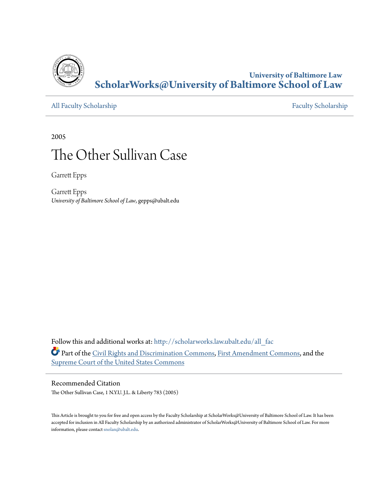

**University of Baltimore Law [ScholarWorks@University of Baltimore School of Law](http://scholarworks.law.ubalt.edu?utm_source=scholarworks.law.ubalt.edu%2Fall_fac%2F234&utm_medium=PDF&utm_campaign=PDFCoverPages)**

[All Faculty Scholarship](http://scholarworks.law.ubalt.edu/all_fac?utm_source=scholarworks.law.ubalt.edu%2Fall_fac%2F234&utm_medium=PDF&utm_campaign=PDFCoverPages) [Faculty Scholarship](http://scholarworks.law.ubalt.edu/faculty?utm_source=scholarworks.law.ubalt.edu%2Fall_fac%2F234&utm_medium=PDF&utm_campaign=PDFCoverPages) Faculty Scholarship

2005

# The Other Sullivan Case

Garrett Epps

Garrett Epps *University of Baltimore School of Law*, gepps@ubalt.edu

Follow this and additional works at: [http://scholarworks.law.ubalt.edu/all\\_fac](http://scholarworks.law.ubalt.edu/all_fac?utm_source=scholarworks.law.ubalt.edu%2Fall_fac%2F234&utm_medium=PDF&utm_campaign=PDFCoverPages) Part of the [Civil Rights and Discrimination Commons,](http://network.bepress.com/hgg/discipline/585?utm_source=scholarworks.law.ubalt.edu%2Fall_fac%2F234&utm_medium=PDF&utm_campaign=PDFCoverPages) [First Amendment Commons](http://network.bepress.com/hgg/discipline/1115?utm_source=scholarworks.law.ubalt.edu%2Fall_fac%2F234&utm_medium=PDF&utm_campaign=PDFCoverPages), and the [Supreme Court of the United States Commons](http://network.bepress.com/hgg/discipline/1350?utm_source=scholarworks.law.ubalt.edu%2Fall_fac%2F234&utm_medium=PDF&utm_campaign=PDFCoverPages)

#### Recommended Citation

The Other Sullivan Case, 1 N.Y.U. J.L. & Liberty 783 (2005)

This Article is brought to you for free and open access by the Faculty Scholarship at ScholarWorks@University of Baltimore School of Law. It has been accepted for inclusion in All Faculty Scholarship by an authorized administrator of ScholarWorks@University of Baltimore School of Law. For more information, please contact [snolan@ubalt.edu.](mailto:snolan@ubalt.edu)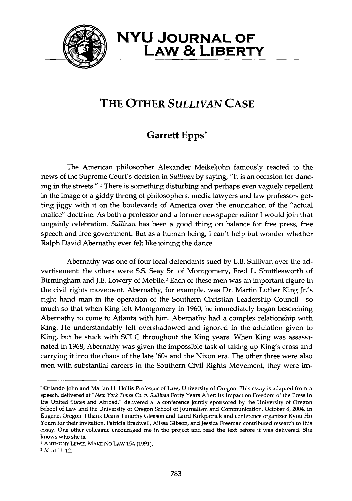

### **NYU JOURNAL OF**  LAw & **LIBERTY**

## **THE OTHER** *SULLIVAN* **CASE**

#### **Garrett Epps\***

The American philosopher Alexander Meikeljohn famously reacted to the news of the Supreme Court's decision in *Sullivan* by saying, "It is an occasion for dancing in the streets."<sup>1</sup> There is something disturbing and perhaps even vaguely repellent in the image of a giddy throng of philosophers, media lawyers and law professors getting jiggy with it on the boulevards of America over the enunciation of the "actual malice" doctrine. As both a professor and a former newspaper editor I would join that ungainly celebration. *Sullivan* has been a good thing on balance for free press, free speech and free government. But as a human being, I can't help but wonder whether Ralph David Abernathy ever felt like joining the dance.

Abernathy was one of four local defendants sued by L.B. Sullivan over the advertisement: the others were 5.5. Seay Sr. of Montgomery, Fred L. Shuttlesworth of Birmingham and J.E. Lowery of Mobile.2 Each of these men was an important figure in the civil rights movement. Abernathy, for example, was Dr. Martin Luther King Jr.'s right hand man in the operation of the Southern Christian Leadership Council-so much so that when King left Montgomery in 1960, he immediately began beseeching Abernathy to come to Atlanta with him. Abernathy had a complex relationship with King. He understandably felt overshadowed and ignored in the adulation given to King, but he stuck with SCLC throughout the King years. When King was assassinated in 1968, Abernathy was given the impossible task of taking up King's cross and carrying it into the chaos of the late '60s and the Nixon era. The other three were also men with substantial careers in the Southern Civil Rights Movement; they were im-

<sup>•</sup> Orlando John and Marian H. Hollis Professor of Law, University of Oregon. This essay is adapted from a speech, delivered at *"New York Times Co. v. Sullivan* Forty Years After: Its Impact on Freedom of the Press in the United States and Abroad," delivered at a conference jointly sponsored by the University of Oregon School of Law and the University of Oregon School of Journalism and Communication, October 8, 2004, in Eugene, Oregon. I thank Deans Timothy Gleason and Laird Kirkpatrick and conference organizer Kyou Ho Youm for their invitation. Patricia Bradwell, Alissa Gibson, and Jessica Freeman contributed research to this essay. One other colleague encouraged me in the project and read the text before it was delivered. She knows who she is.

<sup>1</sup> ANTHONY LEWIS, MAKE No LAW 154 (1991).

<sup>2</sup>*Id.* at 11-12.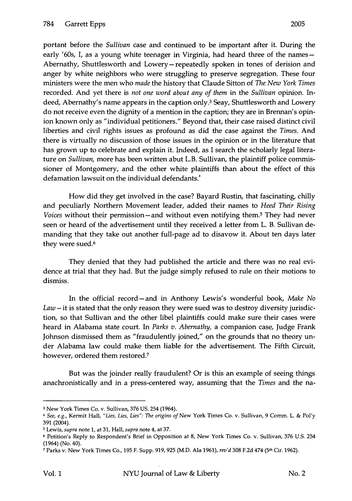portant before the *Sullivan* case and continued to be important after it. During the early '60s, I, as a young white teenager in Virginia, had heard three of the names-Abernathy, Shuttlesworth and Lowery-repeatedly spoken in tones of derision and anger by white neighbors who were struggling to preserve segregation. These four ministers were the men who *made* the history that Claude Sitton of *The New York Times*  recorded. And yet there is *not one word about any of them* in the *Sullivan* opinion. Indeed, Abernathy's name appears in the caption only.3 Seay, Shuttlesworth and Lowery do not receive even the dignity of a mention in the caption; they are in Brennan's opinion known only as "individual petitioners." Beyond that, their case raised distinct civil liberties and civil rights issues as profound as did the case against the *Times.* And there is virtually no discussion of those issues in the opinion or in the literature that has grown up to celebrate and explain it. Indeed, as I search the scholarly legal literature on *Sullivan,* more has been written abut L.B. Sullivan, the plaintiff police commissioner of Montgomery, and the other white plaintiffs than about the effect of this defamation lawsuit on the individual defendants.<sup>4</sup>

How did they get involved in the case? Bayard Rustin, that fascinating, chilly and peculiarly Northern Movement leader, added their names to *Heed Their Rising Voices* without their permission—and without even notifying them.<sup>5</sup> They had never seen or heard of the advertisement until they received a letter from L. B. Sullivan demanding that they take out another full-page ad to disavow it. About ten days later they were sued.<sup>6</sup>

They denied that they had published the article and there was no real evidence at trial that they had. But the judge simply refused to rule on their motions to dismiss.

In the official record - and in Anthony Lewis's wonderful book, *Make No Law* - it is stated that the only reason they were sued was to destroy diversity jurisdiction, so that Sullivan and the other libel plaintiffs could make sure their cases were heard in Alabama state court. In *Parks v. Abernathy,* a companion case, Judge Frank Johnson dismissed them as "fraudulently joined," on the grounds that no theory under Alabama law could make them liable for the advertisement. The Fifth Circuit, however, ordered them restored.7

But was the joinder really fraudulent? Or is this an example of seeing things anachronistically and in a press-centered way, assuming that the *Times* and the na-

<sup>3</sup> New York Times Co. v. Sullivan, 376 US. 254 (1964).

<sup>&</sup>lt;sup>4</sup> See, e.g., Kermit Hall, "Lies, Lies, Lies": The origins of New York Times Co. v. Sullivan, 9 Comm. L. & Pol'y 391 (2004).

<sup>5</sup> Lewis, *supra* note 1, at 31, Hall, *supra* note 4, at 37.

<sup>6</sup> Petition's Reply to Respondent's Brief in Opposition at 8, New York Times Co. v. Sullivan, 376 U.s. 254 (1964) (No. 40).

<sup>7</sup> Parks v. New York Times Co., 195 F. Supp. 919, 925 (M.D. Ala 1961), *rev'd* 308 F.2d 474 (5th CiT. 1962).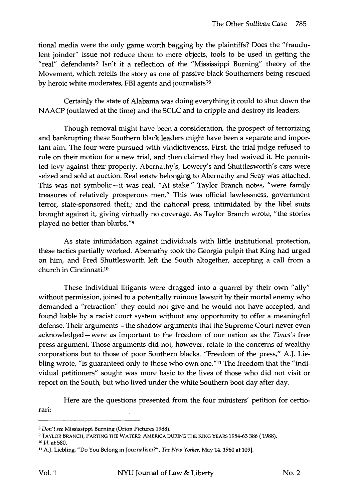tional media were the only game worth bagging by the plaintiffs? Does the "fraudulent joinder" issue not reduce them to mere objects, tools to be used in getting the "real" defendants? Isn't it a reflection of the "Mississippi Burning" theory of the Movement, which retells the story as one of passive black Southerners being rescued by heroic white moderates, FBI agents and journalists?8

Certainly the state of Alabama was doing everything it could to shut down the NAACP (outlawed at the time) and the SCLC and to cripple and destroy its leaders.

Though removal might have been a consideration, the prospect of terrorizing and bankrupting these Southern black leaders might have been a separate and important aim. The four were pursued with vindictiveness. First, the trial judge refused to rule on their motion for a new trial, and then claimed they had waived it. He permitted levy against their property. Abernathy's, Lowery's and Shuttlesworth's cars were seized and sold at auction. Real estate belonging to Abernathy and Seay was attached. This was not symbolic-it was real. "At stake." Taylor Branch notes, "were family treasures of relatively prosperous men." This was official lawlessness, government terror, state-sponsored theft,; and the national press, intimidated by the libel suits brought against it, giving virtually no coverage. As Taylor Branch wrote, "the stories played no better than blurbs."9

As state intimidation against individuals with little institutional protection, these tactics partially worked. Abernathy took the Georgia pulpit that King had urged on him, and Fred Shuttlesworth left the South altogether, accepting a call from a church in Cincinnati.10

These individual litigants were dragged into a quarrel by their own "ally" without permission, joined to a potentially ruinous lawsuit by their mortal enemy who demanded a "retraction" they could not give and he would not have accepted, and found liable by a racist court system without any opportunity to offer a meaningful defense. Their arguments - the shadow arguments that the Supreme Court never even acknowledged-were as important to the freedom of our nation as the *Times's* free press argument. Those arguments did not, however, relate to the concerns of wealthy corporations but to those of poor Southern blacks. "Freedom of the press," A.J. Liebling wrote, "is guaranteed only to those who own one."11 The freedom that the "individual petitioners" sought was more basic to the lives of those who did not visit or report on the South, but who lived under the white Southern boot day after day.

Here are the questions presented from the four ministers' petition for certiorari:

*<sup>8</sup> Don't see* Mississippi Burning (Orion Pictures 1988).

<sup>9</sup> TAYLOR BRANCH, PARTING THE WATERS: AMERICA DURING THE KING YEARS 1954-63 386 ( 1988).

*<sup>10</sup> Id.* at 580.

<sup>11</sup> A.J. Liebling, "Do You Belong in Journalism?", *The New Yorker,* May 14, 1960 at 109].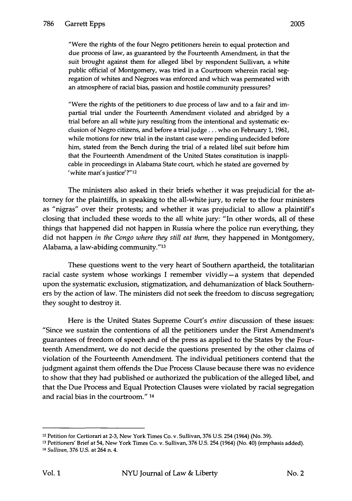"Were the rights of the four Negro petitioners herein to equal protection and due process of law, as guaranteed by the Fourteenth Amendment, in that the suit brought against them for alleged libel by respondent Sullivan, a white public official of Montgomery, was tried in a Courtroom wherein racial segregation of whites and Negroes was enforced and which was permeated with an atmosphere of racial bias, passion and hostile community pressures?

"Were the rights of the petitioners to due process of law and to a fair and impartial trial under the Fourteenth Amendment violated and abridged by a trial before an all white jury resulting from the intentional and systematic exclusion of Negro citizens, and before a trial judge ... who on February 1, 1961, while motions for new trial in the instant case were pending undecided before him, stated from the Bench during the trial of a related libel suit before him that the Fourteenth Amendment of the United States constitution is inapplicable in proceedings in Alabama State court, which he stated are governed by 'white man's justice'?"12

The ministers also asked in their briefs whether it was prejudicial for the attorney for the plaintiffs, in speaking to the all-white jury, to refer to the four ministers as "nigras" over their protests; and whether it was prejudicial to allow a plaintiff's closing that included these words to the all white jury: "In other words, all of these things that happened did not happen in Russia where the police run everything, they did not happen *in the Congo where they still eat them,* they happened in Montgomery, Alabama, a law-abiding community."13

These questions went to the very heart of Southern apartheid, the totalitarian racial caste system whose workings I remember vividly-a system that depended upon the systematic exclusion, stigmatization, and dehumanization of black Southerners by the action of law. The ministers did not seek the freedom to discuss segregation; they sought to destroy it.

Here is the United States Supreme Court's *entire* discussion of these issues: "Since we sustain the contentions of all the petitioners under the First Amendment's guarantees of freedom of speech and of the press as applied to the States by the Fourteenth Amendment, we do not decide the questions presented by the other claims of violation of the Fourteenth Amendment. The individual petitioners contend that the judgment against them offends the Due Process Clause because there was no evidence to show that they had published or authorized the publication of the alleged libel, and that the Due Process and Equal Protection Clauses were violated by racial segregation and racial bias in the courtroom." 14

<sup>&</sup>lt;sup>12</sup> Petition for Certiorari at 2-3, New York Times Co. v. Sullivan, 376 U.S. 254 (1964) (No. 39).

<sup>&</sup>lt;sup>13</sup> Petitioners' Brief at 54, New York Times Co. v. Sullivan, 376 U.S. 254 (1964) (No. 40) (emphasis added).

<sup>14</sup>*Sullivan,* 376 U.S. at 264 n. 4.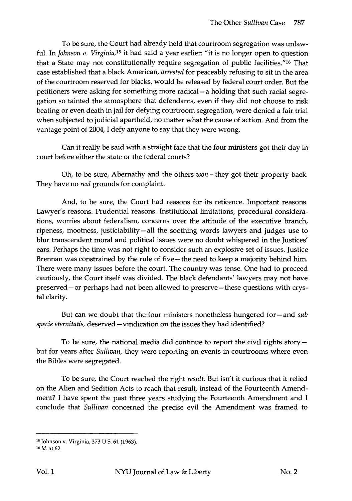To be sure, the Court had already held that courtroom segregation was unlawful. In *Johnson v. Virginia,15* it had said a year earlier: "it is no longer open to question that a State may not constitutionally require segregation of public facilities."16 That case established that a black American, *arrested* for peaceably refusing to sit in the area of the courtroom reserved for blacks, would be released by federal court order. But the petitioners were asking for something more radical- a holding that such racial segregation so tainted the atmosphere that defendants, even if they did not choose to risk beating or even death in jail for defying courtroom segregation, were denied a fair trial when subjected to judicial apartheid, no matter what the cause of action. And from the vantage point of 2004, I defy anyone to say that they were wrong.

Can it really be said with a straight face that the four ministers got their day in court before either the state or the federal courts?

Oh, to be sure, Abernathy and the others  $won$  – they got their property back. They have no *real* grounds for complaint.

And, to be sure, the Court had reasons for its reticence. Important reasons. Lawyer's reasons. Prudential reasons. Institutional limitations, procedural considerations, worries about federalism, concerns over the attitude of the executive branch, ripeness, mootness, justiciability - all the soothing words lawyers and judges use to blur transcendent moral and political issues were no doubt whispered in the Justices' ears. Perhaps the time was not right to consider such an explosive set of issues. Justice Brennan was constrained by the rule of five - the need to keep a majority behind him. There were many issues before the court. The country was tense. One had to proceed cautiously, the Court itself was divided. The black defendants' lawyers may not have preserved-or perhaps had not been allowed to preserve-these questions with crystal clarity.

But can we doubt that the four ministers nonetheless hungered for – and *sub specie eternitatis, deserved* - vindication on the issues they had identified?

To be sure, the national media did continue to report the civil rights story  $$ but for years after *Sullivan,* they were reporting on events in courtrooms where even the Bibles were segregated.

To be sure, the Court reached the right *result.* But isn't it curious that it relied on the Alien and Sedition Acts to reach that result, instead of the Fourteenth Amendment? I have spent the past three years studying the Fourteenth Amendment and I conclude that *Sullivan* concerned the precise evil the Amendment was framed to

<sup>15</sup> Johnson v. Virginia, 373 U.s. 61 (1963).

<sup>16</sup>*Id.* at 62.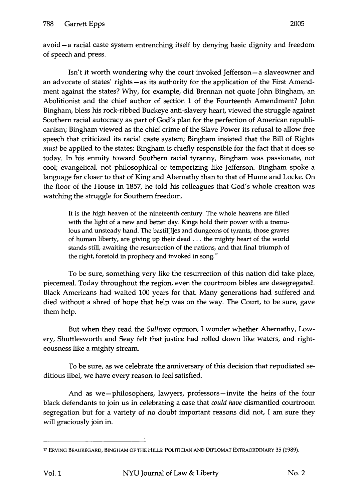avoid - a racial caste system entrenching itself by denying basic dignity and freedom of speech and press.

Isn't it worth wondering why the court invoked Jefferson-a slaveowner and an advocate of states' rights-as its authority for the application of the First Amendment against the states? Why, for example, did Brennan not quote John Bingham, an Abolitionist and the chief author of section 1 of the Fourteenth Amendment? John Bingham, bless his rock-ribbed Buckeye anti-slavery heart, viewed the struggle against Southern racial autocracy as part of God's plan for the perfection of American republicanism; Bingham viewed as the chief crime of the Slave Power its refusal to allow free speech that criticized its racial caste system; Bingham insisted that the Bill of Rights *must* be applied to the states; Bingham is chiefly responsible for the fact that it does so today. In his enmity toward Southern racial tyranny, Bingham was passionate, not cool; evangelical, not philosophical or temporizing like Jefferson. Bingham spoke a language far closer to that of King and Abernathy than to that of Hume and Locke. On the floor of the House in 1857, he told his colleagues that God's whole creation was watching the struggle for Southern freedom.

It is the high heaven of the nineteenth century. The whole heavens are filled with the light of a new and better day. Kings hold their power with a tremulous and unsteady hand. The bastil[IJes and dungeons of tyrants, those graves of human liberty, are giving up their dead ... the mighty heart of the world stands still, awaiting the resurrection of the nations, and that final triumph of the right, foretold in prophecy and invoked in song."

To be sure, something very like the resurrection of this nation did take place, piecemeal. Today throughout the region, even the courtroom bibles are desegregated. Black Americans had waited 100 years for that. Many generations had suffered and died without a shred of hope that help was on the way. The Court, to be sure, gave them help.

But when they read the *Sullivan* opinion, I wonder whether Abernathy, Lowery, Shuttlesworth and Seay felt that justice had rolled down like waters, and righteousness like a mighty stream.

To be sure, as we celebrate the anniversary of this decision that repudiated seditious libel, we have every reason to feel satisfied.

And as we-philosophers, lawyers, professors-invite the heirs of the four black defendants to join us in celebrating a case that *could have* dismantled courtroom segregation but for a variety of no doubt important reasons did not, I am sure they will graciously join in.

<sup>17</sup> ERVING BEAUREGARD, BINGHAM OF TIIE HILLS: POLITIOAN AND DIPLOMAT EXTRAORDINARY 35 (1989).